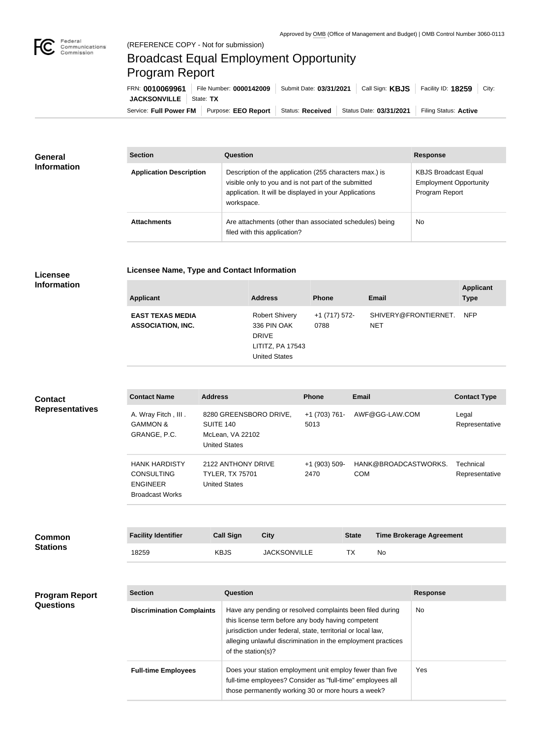

## Broadcast Equal Employment Opportunity Program Report

Service: Full Power FM Purpose: EEO Report | Status: Received | Status Date: 03/31/2021 | Filing Status: Active **JACKSONVILLE** State: TX FRN: **0010069961** File Number: **0000142009** Submit Date: **03/31/2021** Call Sign: **KBJS** Facility ID: **18259** City:

| <b>General</b><br><b>Information</b> | <b>Section</b>                 | Question                                                                                                                                                                                | <b>Response</b>                                                                |
|--------------------------------------|--------------------------------|-----------------------------------------------------------------------------------------------------------------------------------------------------------------------------------------|--------------------------------------------------------------------------------|
|                                      | <b>Application Description</b> | Description of the application (255 characters max.) is<br>visible only to you and is not part of the submitted<br>application. It will be displayed in your Applications<br>workspace. | <b>KBJS Broadcast Equal</b><br><b>Employment Opportunity</b><br>Program Report |
|                                      | <b>Attachments</b>             | Are attachments (other than associated schedules) being<br>filed with this application?                                                                                                 | <b>No</b>                                                                      |

## **Licensee Information**

**Licensee Name, Type and Contact Information**

| <b>Applicant</b>                                    | <b>Address</b>                                                                                   | <b>Phone</b>          | <b>Email</b>                       | <b>Applicant</b><br><b>Type</b> |
|-----------------------------------------------------|--------------------------------------------------------------------------------------------------|-----------------------|------------------------------------|---------------------------------|
| <b>EAST TEXAS MEDIA</b><br><b>ASSOCIATION, INC.</b> | <b>Robert Shivery</b><br>336 PIN OAK<br><b>DRIVE</b><br>LITITZ, PA 17543<br><b>United States</b> | +1 (717) 572-<br>0788 | SHIVERY@FRONTIERNET.<br><b>NET</b> | <b>NFP</b>                      |

| <b>Contact</b>                   | <b>Contact Name</b>                                                                    | <b>Address</b>                                                                  |                     | <b>Phone</b>            | <b>Email</b> |                                 | <b>Contact Type</b>         |
|----------------------------------|----------------------------------------------------------------------------------------|---------------------------------------------------------------------------------|---------------------|-------------------------|--------------|---------------------------------|-----------------------------|
| <b>Representatives</b>           | A. Wray Fitch, III.<br><b>GAMMON &amp;</b><br>GRANGE, P.C.                             | 8280 GREENSBORO DRIVE,<br>SUITE 140<br>McLean, VA 22102<br><b>United States</b> |                     | +1 (703) 761-<br>5013   |              | AWF@GG-LAW.COM                  | Legal<br>Representative     |
|                                  | <b>HANK HARDISTY</b><br><b>CONSULTING</b><br><b>ENGINEER</b><br><b>Broadcast Works</b> | 2122 ANTHONY DRIVE<br><b>TYLER, TX 75701</b><br><b>United States</b>            |                     | $+1$ (903) 509-<br>2470 | <b>COM</b>   | HANK@BROADCASTWORKS.            | Technical<br>Representative |
|                                  |                                                                                        |                                                                                 |                     |                         |              |                                 |                             |
| <b>Common</b><br><b>Stations</b> | <b>Facility Identifier</b>                                                             | <b>Call Sign</b>                                                                | <b>City</b>         |                         | <b>State</b> | <b>Time Brokerage Agreement</b> |                             |
|                                  | 18259                                                                                  | <b>KBJS</b>                                                                     | <b>JACKSONVILLE</b> |                         | TX           | No                              |                             |

| <b>Program Report</b> |
|-----------------------|
| <b>Questions</b>      |

| <b>Section</b>                   | Question                                                                                                                                                                                                                                                              | <b>Response</b> |
|----------------------------------|-----------------------------------------------------------------------------------------------------------------------------------------------------------------------------------------------------------------------------------------------------------------------|-----------------|
| <b>Discrimination Complaints</b> | Have any pending or resolved complaints been filed during<br>this license term before any body having competent<br>jurisdiction under federal, state, territorial or local law,<br>alleging unlawful discrimination in the employment practices<br>of the station(s)? | No.             |
| <b>Full-time Employees</b>       | Does your station employment unit employ fewer than five<br>full-time employees? Consider as "full-time" employees all<br>those permanently working 30 or more hours a week?                                                                                          | Yes             |